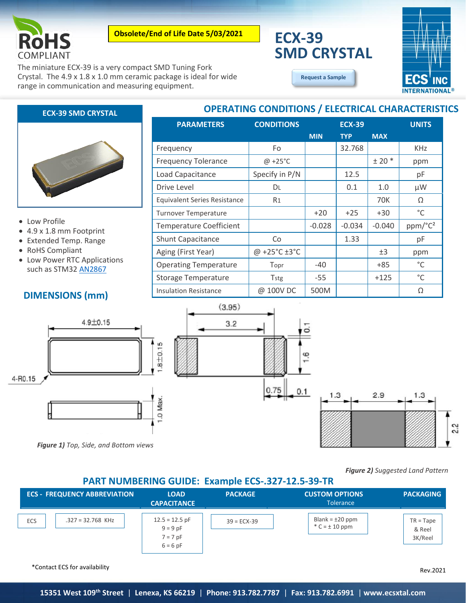

**Obsolete/End of Life Date 5/03/2021**

The miniature ECX-39 is a very compact SMD Tuning Fork Crystal. The 4.9 x 1.8 x 1.0 mm ceramic package is ideal for wide range in communication and measuring equipment.

# **ECX-39 SMD CRYSTAL**



**[Request a Sample](http://ecsxtalportal.com/samplepilot/samplerequest.php)**

**OPERATING CONDITIONS / ELECTRICAL CHARACTERISTICS**

# **ECX-39 SMD CRYSTAL**

### • Low Profile

- 4.9 x 1.8 mm Footprint
- Extended Temp. Range
- RoHS Compliant
- Low Power RTC Applications such as STM32 [AN2867](http://www.st.com/content/ccc/resource/technical/document/application_note/c6/eb/5e/11/e3/69/43/eb/CD00221665.pdf/files/CD00221665.pdf/jcr:content/translations/en.CD00221665.pdf)

# **DIMENSIONS (mm)**

| <b>PARAMETERS</b>          | <b>CONDITIONS</b> | <b>ECX-39</b> |            |            | <b>UNITS</b> |
|----------------------------|-------------------|---------------|------------|------------|--------------|
|                            |                   | <b>MIN</b>    | <b>TYP</b> | <b>MAX</b> |              |
| Frequency                  | Fo                |               | 32.768     |            | <b>KHz</b>   |
| <b>Frequency Tolerance</b> | $@ + 25°C$        |               |            | $± 20$ *   | ppm          |
| Load Capacitance           | Specify in P/N    |               | 12.5       |            | рF           |
| Drive Level                |                   |               | 0.1        |            | uW           |

| Load Capacitance                    | Specify in P/N |          | 12.5     |            | рF                  |
|-------------------------------------|----------------|----------|----------|------------|---------------------|
| Drive Level                         | DL.            |          | 0.1      | 1.0        | $\mu$ W             |
| <b>Equivalent Series Resistance</b> | R <sub>1</sub> |          |          | <b>70K</b> | Ω                   |
| Turnover Temperature                |                | $+20$    | $+25$    | $+30$      | °C                  |
| <b>Temperature Coefficient</b>      |                | $-0.028$ | $-0.034$ | $-0.040$   | ppm/°C <sup>2</sup> |
| <b>Shunt Capacitance</b>            | Co             |          | 1.33     |            | pF                  |
| Aging (First Year)                  | @ +25°C ±3°C   |          |          | ±3         | ppm                 |
| <b>Operating Temperature</b>        | Topr           | -40      |          | $+85$      | $^{\circ}$ C        |
| <b>Storage Temperature</b>          | Tstg           | $-55$    |          | $+125$     | $^{\circ}$ C        |
| <b>Insulation Resistance</b>        | @ 100V DC      | 500M     |          |            | Ω                   |





*Figure 1) Top, Side, and Bottom views*

*Figure 2) Suggested Land Pattern*

### **PART NUMBERING GUIDE: Example ECS-.327-12.5-39-TR**

|     | <b>ECS - FREQUENCY ABBREVIATION</b> | <b>LOAD</b><br><b>CAPACITANCE</b>                          | <b>PACKAGE</b> | <b>CUSTOM OPTIONS</b><br><b>Tolerance</b> | <b>PACKAGING</b>                 |
|-----|-------------------------------------|------------------------------------------------------------|----------------|-------------------------------------------|----------------------------------|
| ECS | $.327 = 32.768$ KHz                 | $12.5 = 12.5$ pF<br>$9 = 9 pF$<br>$7 = 7$ pF<br>$6 = 6 pF$ | $39 = ECX-39$  | Blank = $\pm 20$ ppm<br>$C = \pm 10$ ppm  | $TR = Tape$<br>& Reel<br>3K/Reel |

\*Contact ECS for availability